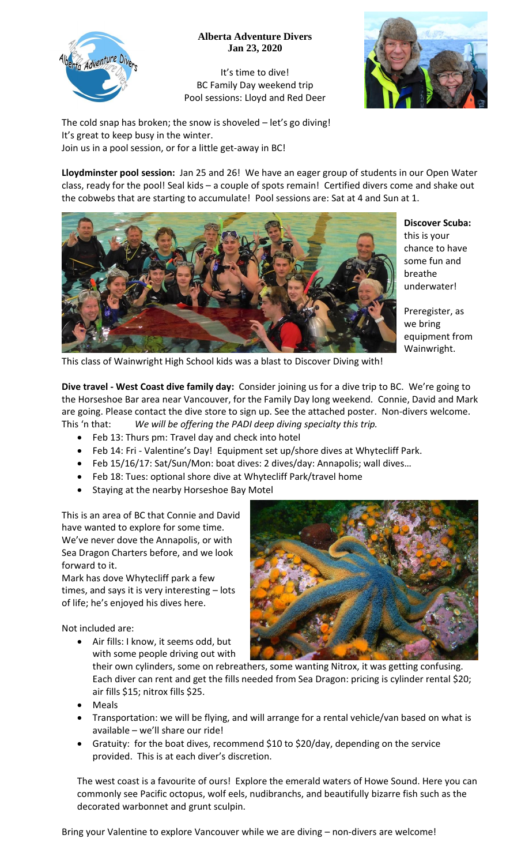

## **Alberta Adventure Divers Jan 23, 2020**

It's time to dive! BC Family Day weekend trip Pool sessions: Lloyd and Red Deer



The cold snap has broken; the snow is shoveled – let's go diving! It's great to keep busy in the winter. Join us in a pool session, or for a little get-away in BC!

**Lloydminster pool session:** Jan 25 and 26! We have an eager group of students in our Open Water class, ready for the pool! Seal kids – a couple of spots remain! Certified divers come and shake out the cobwebs that are starting to accumulate! Pool sessions are: Sat at 4 and Sun at 1.



**Discover Scuba:**  this is your chance to have

some fun and breathe underwater!

Preregister, as we bring equipment from Wainwright.

This class of Wainwright High School kids was a blast to Discover Diving with!

**Dive travel - West Coast dive family day:** Consider joining us for a dive trip to BC. We're going to the Horseshoe Bar area near Vancouver, for the Family Day long weekend. Connie, David and Mark are going. Please contact the dive store to sign up. See the attached poster. Non-divers welcome. This 'n that: *We will be offering the PADI deep diving specialty this trip.*

- Feb 13: Thurs pm: Travel day and check into hotel
- Feb 14: Fri Valentine's Day! Equipment set up/shore dives at Whytecliff Park.
- Feb 15/16/17: Sat/Sun/Mon: boat dives: 2 dives/day: Annapolis; wall dives…
- Feb 18: Tues: optional shore dive at Whytecliff Park/travel home
- Staying at the nearby Horseshoe Bay Motel

This is an area of BC that Connie and David have wanted to explore for some time. We've never dove the Annapolis, or with Sea Dragon Charters before, and we look forward to it.

Mark has dove Whytecliff park a few times, and says it is very interesting – lots of life; he's enjoyed his dives here.

Not included are:

 Air fills: I know, it seems odd, but with some people driving out with

their own cylinders, some on rebreathers, some wanting Nitrox, it was getting confusing. Each diver can rent and get the fills needed from Sea Dragon: pricing is cylinder rental \$20; air fills \$15; nitrox fills \$25.

- Meals
- Transportation: we will be flying, and will arrange for a rental vehicle/van based on what is available – we'll share our ride!
- Gratuity: for the boat dives, recommend \$10 to \$20/day, depending on the service provided. This is at each diver's discretion.

The west coast is a favourite of ours! Explore the emerald waters of Howe Sound. Here you can commonly see Pacific octopus, wolf eels, nudibranchs, and beautifully bizarre fish such as the decorated warbonnet and grunt sculpin.